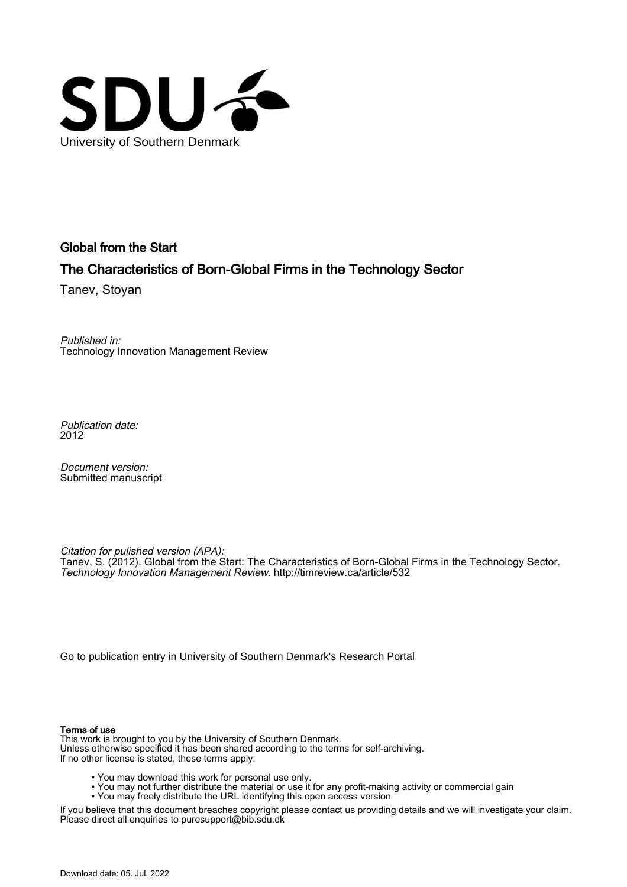

Global from the Start

# The Characteristics of Born-Global Firms in the Technology Sector

Tanev, Stoyan

Published in: Technology Innovation Management Review

Publication date: 2012

Document version: Submitted manuscript

Citation for pulished version (APA): Tanev, S. (2012). Global from the Start: The Characteristics of Born-Global Firms in the Technology Sector. Technology Innovation Management Review. <http://timreview.ca/article/532>

[Go to publication entry in University of Southern Denmark's Research Portal](https://portal.findresearcher.sdu.dk/en/publications/532db09e-7b5d-470c-b56a-94511df624d9)

#### Terms of use

This work is brought to you by the University of Southern Denmark. Unless otherwise specified it has been shared according to the terms for self-archiving. If no other license is stated, these terms apply:

- You may download this work for personal use only.
- You may not further distribute the material or use it for any profit-making activity or commercial gain
- You may freely distribute the URL identifying this open access version

If you believe that this document breaches copyright please contact us providing details and we will investigate your claim. Please direct all enquiries to puresupport@bib.sdu.dk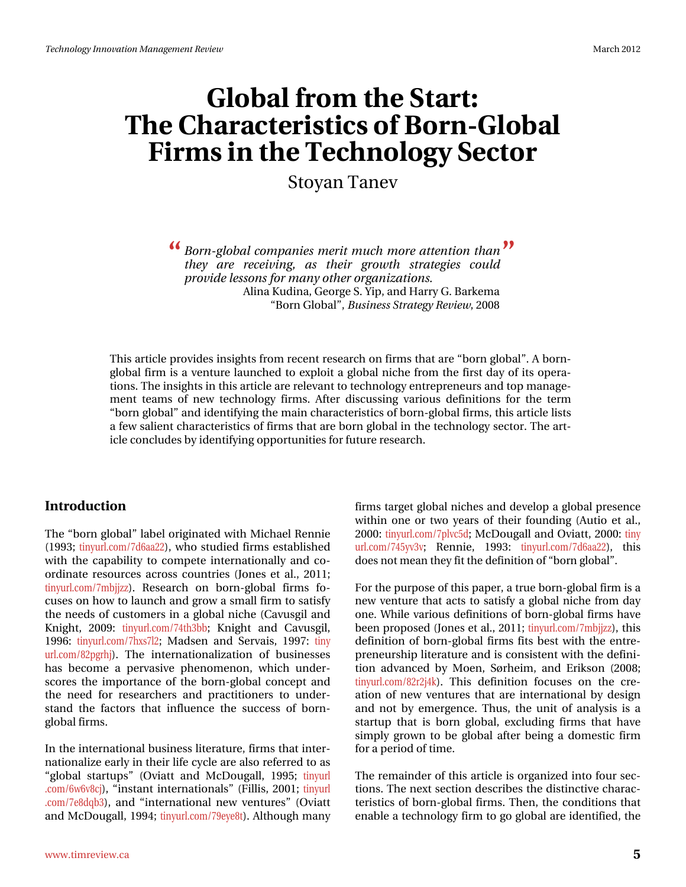# $J \sigma$  edd fur p # $\kappa$  h# $\wedge$  wd u  $\star$ Wkh#Fkdudfwhulwwtv#i#Eruq OJ oredo Ilup v#q#wkh#Vhfkqrorj|#Vhfwru

Ww | dq #Vdq hy

<u>(</u> Eruq0joredo#frpsdqlhv#phulw#pxfk#pruh#dwmlqwlrq#wkdq#TMI wkh | # duh# uhfhiylqj /# dv# wkhlu# jurz wk# ww.dwhj lhv# fr x og# sur yigh#bhwr gw#r u#p dg|# wkhu# ujdgi}dwir gv1 Dolgd#Nxglgd/#J hr u h#V# Is/#dgg#K duul #J #Edunhp d ‹Eruq#JoredoT/#Exvlqhw#A/wudwhj|#Uhylhz/#533;

Wklv#duwlfoh#surylghv#lqvljkww#urp#uhfhqw#uhvhdufk#q#lupv#wkdw#duh#eruq#joredoT\*#D#eruq0 joredo#lup#v#d#yhqwxuh#odxqfkhq#wr#h{sorlw#d#joredo#qlfkh#lurp#wkh#lluvw#qd|#ri#lw#rshud0 wlrqv1#Wkh#lqvljkwv#lq#wklv#duwlfoh#duh#uhohydqw#wr#mlfkqrorj|#hqwuhsuhqhxuv#dqg#wrs#pdqdjh0 phqw4whdpv#ri#qhz#whfkqrorj|#ilupv1#Diwhu#glvfxvvlqj#ydulrxv#ghilqlwlrqv#iru#wkh#whup# ‹er uq# σredo"#dqg#ghqwli|lqj#wkh#pdlq#|kdudfwhulvwlfv#ti#eruq0joredo#llupv/#wklv#duwlfoh#bww# d#hz#vdolhqw#kdudfwhulvwlfv#ti#lupv#wkdw#duh#eruq#joredo#q#wkh#whfkqrorj|#vhfwru1#Mkh#duw0 If oh#frqfoxghv#e|#ghqwli|lqj#ssruwxqlwlhv#ru#xwxuh#uhvhdufk1#

#### Lawer  $q \times f$  where  $q \#$

Wikh#eruq#joredoT#bdeho#uljlqdvhg#zlvk#Plfkdho#Uhqqlh# +4<<6:#wq|xuofrp2:g9dd55,/#zkr#wxglhg#llupv#nwodedlvkhg# zlwk#wkh#fdsdeldw|#wr#frpshwh#lqwhuqdwlrqdool#dqg#fr0 ruglgdwh#uhvrxufhv#dfurvv#frxgwulhv#+Mqhv#hw#do1/#5344:# wig xuo frp 2: pemia , 1# Uhvhdufk#rq#eruq0joredo#ilupv#ir0 f x vhv#q#k r z #wr#odx q f k #dqg#j ur z #d#vp doo#llup #wr#vdwlvi|# wkh#qhhqv#ri#fxwwrphw#q#d#roredo#qlfkh#HFdyxvjlo#dqq# Nqlj kw#533<#wq|xuofrp 2:7wk6ee#Nqlj kw#dqg#Fdyxvj lo/# 4<<9#Wg|xuofrp2k{v: 65#Pdgvhq#dqg#Vhuydlv/#4<<: #Wg| xuof rp 2; 5sj ukm#Wkh#Iqwhuqdwlr qdd dwlr q#ri#exvlqhvvhv# kdv#ehfrph#d#shuydvlyh#skhqrphqrq/#zklfk#xqghw vfruhv#wkh#lpsruvdqfh#ri#wkh#eruq0joredo#frqfhsw#dqg# wkh#qhhg#iru#uhvhdufkhuv#dqg#sudfwwrqhuv#wr#xqghu0 wodqg#wkh#idfwrw.#wkdw#lqioxhqfh#wkh#vxffhvv#ri#eruq0 j or edo#lup v1

Lq#wkh#qwhuqdwlrqdo#exvlqhvv#bwhudwxuh/#lupv#wkdw#qwhu0 qdwr qdd } h#ndud #q#wkhlu#bih# | foh#duh#dovr#uhihuuhg#wr#dv# <joredc#vwduwxsv™#+Ryldww#dqg#PfGrxjdoo##4<<8>#wlq|xuo 1 rp 29z 9y; fm/#lqvvdqv#lqvhuqdvlrqdov<sup>Ti</sup>#Hloolv/#5334 <u>#Miqlxu</u> 1rp 2: h; gt e6,/#dqg# lqwhuqdwlr qdd#qhz #yhqwx uhv<sup>T#</sup>#Ryldww# dqg#PfGrxjdoo#4<<7>#Wg|xuofrp2:<h|h;w,1#Dowkrxjk#pdq|# ilup v#wdujhw#joredo#glfkhv#dqg#ghyhors#d#joredo#suhvhqfh# z lwklq#rqh#ru#wzr#| hduv#ri#wkhlu#irxqqlqj#+Dxwlr#hw#do1/# 5333=#Mg| xuofirp 2: soyf8g=#Pf Grxjdoo#dqg#Ryldw=#5333=#Mg| xuof rp 2:78 y6y# Uhqqlh/# 4<<6# wq| xuof rp 2: g9dd55, /# wklv# grhv#qrw#phdq#wkh|#lw#wkh#ghilqlwlrq#ti#eruq#joredo<sup>rw</sup>#

Iru#wkh#sxusrvh#i#wklv#sdshu/#d#wuxh#eruq0joredo#lup#v#d# qhz #yhqw.uh#wkdw#dfw#wr#vdwlvi|#d#joredo#qlfkh#jurp#gd|# r ght#Z kloh#ydulr x v#ghilglwlr gy#ri#er ug0j or edc#llup v#kdyh# ehhq#sursrvhg#Mrqhv#hw#dd/#5344#Muq|xuofrp2:pemj},/#Mklv# ghilglwr g#ri#er ugQ or edd#llup v#llw#ehw#z lwk#wkh#hqwuh0 suhghx wkls#whudwx uh#dqg#v#frqvlwhqw#zlwk#wkh#ghilql0 wh q#dgydqf hg#e| #P r hq/#Vuukhlp /#dqg#Hulnvr q#+533; # wq| xuof r p 2; 5u5m7n, #HVKIv#ghilqIwtrq#irf x vhv#rq#wkh#fuh0 dwr q#r i#qhz #yhqwx uhv#wk dw#duh#lqwhuqdwlr qdd#e|#ghvljq# dqg#qrw#e|#hphujhqfh1#AWkxv/#Awkh#xqlw#ri#dqdojvlv#lv#d# woduws#wkdw#lv#erug#joredo/#h{foxglqj#ilupv#wkdw#kdyh# vlp sol# urzq#wr#eh#joredo#diwhu#ehlqj#d#grphwwf#llup# iru#d#shulrg#ri#Mph1#

With the product it will with the with the hand with the with the with the with the with the with the with the with the with the with the with the with the with the with the with the with the with the with the with the wit what qv1#Wkh#gh{w#vhfwhrq#ghvfulehv#wkh#glvwlqfwlyh#kdudf0 whulw of v#ri#erugQjoredo#llup v#A/khq/#Akh#frqglwlrqv#Akdw# hqdedh#d#whfkqroril#lup#wr#tr#oredd#duh#qhqwilhg/#wkh#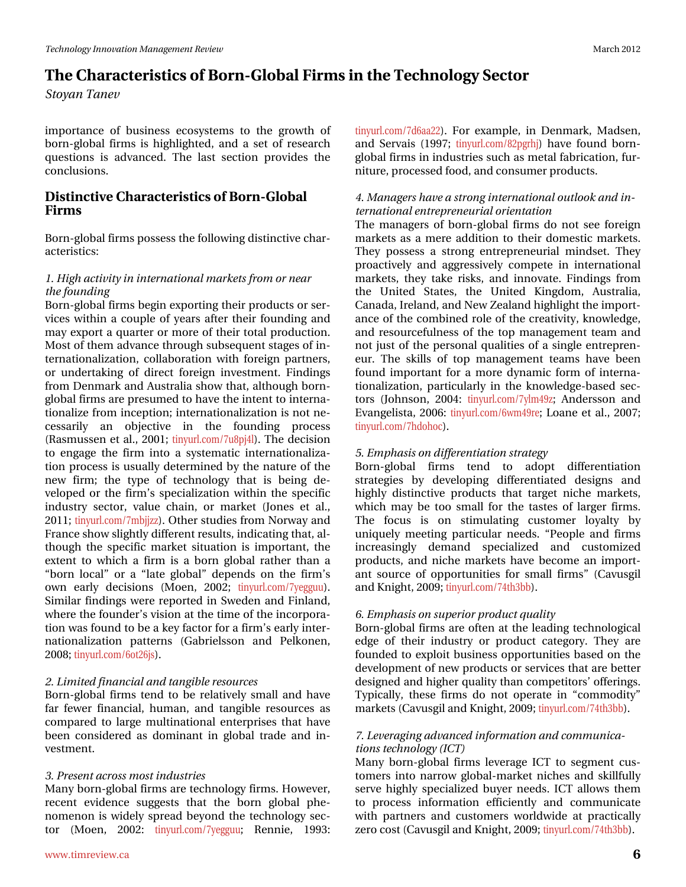#### P duf k#5345

# Wikh #Fk dudf whul w white rug QJ or edd #lup w #q#wkh #Whifk groril #Vhifwru Ww | dg#Wdghy

Ip sr uvdqf h#r i#exvlqhvv#hf r v| vvhp v#vvr #vkh#j ur z vk#r i# er ug0j or edd#lup v#lv#kljkdjkwhg/#dgg#d#vhw#ri#uhvhdufk# t x hwwr qv#lv#dgydqf hg #Wk h#odww#vhf wlr q#s ur ylghv#wk h# frqf $\alpha$ vlrqv $\sharp\sharp$ 

#### Glvwgf wyh#Fkdudf whulwwf v#i#Erug  $QJ$  or edd#  $1 \text{ lup } v#$

Eruq0joredo#lupv#srvvhvv#wkh#roorzlqj#glvwlqfwlyh#kdu0  $df$  whul www.f  $v=$ 

#### 41Kljk#dfwylwl#q#qwhuqdwlrqdo#pdunhw#urp#u#qhdu# wkh#r x q glqj

Eruq0joredo#lupv#ehjlq#h{sruwlqj#wkhlu#surgxfw#tu#whu0 ylf hv#z lwklq#d#frxsdn#ri#| hdw#diwhu#wkhlu#irxqglqj#dqg# p d|#h{sruw#d#txduwhu#ru#pruh#ri#wkhlu#wrwdo#surgxfwlrq1# Prw#i#wk.hp#dgydqfh#wkurxjk#vxevhtxhqw#wdjhv#ti#q0 whugdwirddold dw'r g/#fronderudwirg#z lwk#iruhljg#sduwghuv/# ru#xqqhuvdnlqj#ri#qluhfw#iruhljq#lqyhwphqw#llqqlqjv# iurp #Ghqp dun#dqg#Dxwwddd#wkrz#wkdw#dowkrxjk#eruq0 joredo#lup v#duh#suhvxphg#wr#kdyh#wkh#qwhqw#wr#qwhuqd0 whrqdd}h#urp#qfhswlrq:#qwhuqdwlrqdd}dwlrq#v#qrw#qh0 fhwduld # dq# rerhfwlyh# lq# wkh# ir xqglqj # sur fhw#  $+$ Udvp x vvhq#nv#dol/#5334  $\frac{1}{2}$ kuofrp 2: x; sm7q  $\frac{1}{2}$ Wk h#ghflvlrq# wr#hqjdjh#wkh#ilup#lqwr#d#v|whpdwf#lqwhuqdwlrqdd}d0 whr q#surf hw#lv#xwdool#ghwhup lqhg#e|#wkh#gdwxuh#ri#wkh# qhz #ilup #wkh#w|sh#ri#whfkqrorj|#wkdw#lv#ehlqj#gh0 yhor shg#ru#wkh#llup \*v#vshfldd}dwtrq#zlwklq#wkh#vshflilf# lqgx wu #vhf w u/#ydoxh#f kdlq/#r u#p dunhw#+Mqhv#hw#dol/# 5344 string x un f r p 2: p empl, ttR wk huttows gl h v # ur p # Q r uz d | # blq g # ludqfh#vkrz#voljkwo|#gliihuhqw#uhvxow/#lqglfdwlqj#wkdw#do0 wkrxjk#wkh#vshflilf#pdunhw#vlwxdwlrq#lv#lpsruwdqw#wkh# h{ whqw # x k lf k # d# lup # v# d# er uq# j or edd # udwk hu# wk dq # d# <erug#orfdo<sup>7#</sup>ru#d#<odvh#joredo<sup>7#</sup>ghshqgv#rq#wkh#ilup\*v# rzq#hduoj#ghflvlrqv#+Prhq/#5335:#wlq|xuofrp2|hijxx,1# Vip lodu#lqglqjv#z huh#uhsruwhg#q#Vz hghq#dqg#lqodqg/# z khuh#wkh#irxqqhu\*v#ylvlrq#dw#wkh#wlph#ri#wkh#lqfrusrud0 whrq #z dv#r xqg #wr#ch#d#hh|#dfwru#ru#d#lup \*v#hdud|#qwhu0 qdwr qdd}dwr q#sdwhuqv#+J deulhovr q#dqg#Shonr qhq/# 533; *\*Wg* | xuof r p 29r v59m, #

#### 514Oplwhg#lqdqfldc#dqg#wdqjledn#uhwrxufhv

Er ug g or edd flup v#whqg#wr#eh#uhodwlyho|#vp doc#dqg#kdyh# idu#ihzhu#ilqdqfldd#kxpdq/#dqg#wdqjledn#uhvrxufhv#dv# frp sduhg#wr#odujh#p xowlgdwrgdo#hqwhusulvhv#wkdw#kdyh# ehhq#frqvlghuhg#dv#grplqdqv#lq#joredd#wudgh#dqg#lq0 yhvyp hqw#

#### 614Suhvhqwelfur w#p rw#qgxwulhv

P dq|#eruq0joredo#lup v#duh#whfkqrorj|#lup v#Krzhyhu/# uhfhqw#hylghqfh#vxjjhvw#wkdw#wkh#eruq#joredo#skh0 qrp hqrq#lv#z lgho|#vsuhdg#eh|rqg#wkh#whfkqrorj|#vhf0 wru# +P r hq/# 5335=# w|q| xuofrp 2: | hj j xx = H Uhqql h/# 4 << 6= #

wg|xwofrp 2:g9dd55,1# ru#h{dp sdn/#lq#Ghqp dun/#P dgvhq/# dqg#Vhuydlv#+4<<: # /valx xuofrp 2; 5sj ukm#kdyh#irxqg#eruq0 joredo#lupv#q#qgxvwulhv#vxfk#dv#phwdo#deulfdwlrq/#xu0 glwsuh/#surfhwhg#rrg/#dqg#rqvxphu#surgxfwr1

#### 714P dqdjhuv#kdyh#d#wurqj#qwhuqdwlrqdc#xworrn#dqg#q0 whug dwir g da#ig wins ung hx u da# u hg valwir g

Wikh#p dqdjhuv#ri#eruq0joredo#ilup v#gr#qrw#vhh#iruhljq# p dunhw#dv#d#p huh#dgglwr q#wr#wkhlu#grp hwwf#p dunhwr# With #sr whw#d#wur qj #hqwuhsuhqhxuldd#p lqgvhw#With # sur df wlyhol #dqg#dj juhwlyhol #frp shwh#lq#lqwhuqdwlrqdo# p dunhw/#wkh| #wdnh#ulvnv/#dqg#lqqrydwh#llqglqjv#iurp #  $w$ kh#Xqlwhg#Vwdwhv/#wkh#Xqlwhg#Nlqjgrp/#Dxwuddd/# Fdqdgd/#Luhodqg/#dqg#Qhz#; hdodqg#kljkoljkw#wkh#lpsruw0 dqf h#ri#wkh#frpelqhg#uroh#ri#wkh#fuhdwlylw|/#hqrzohgjh/# dqg#uhvrxufhixoqhvv#ri#wkh#wrs#pdqdjhphqw#whdp#dqg# qrwhaw whii #wkh#shuvrqdo#xdolwhv#ri#d#vlqjoh#hqwuhsuhq0 hx ut#Wk h#vnloov#r i#wr s#p dqdj hp hqw#vhdp v#k dyh#ehhq# ir xqq#lp sruwdqw#ru#d#pruh#g|qdplf#irup#ri#lqwhuqd0 whr qdd dwir q/#sduwlfxoduol#lq#wkh#nqrzohgjh0edvhg#vhf0 wr w#+Mkqvr q/#5337=#wq|xwfrp 2 | p 7< > #Dqghuvr q#dqg# Hydqj hdvvd/#5339=#wq| xuofirp 29z p 7<uh:#Ordqh#nv#dol/#533: #  $\frac{1}{4}$  with x up f r p 2: kgr kr f,  $\frac{1}{4}$ 

#### 81#hp skdvlv#q#gliihuhqwldwlrq#wudwhj|

ErugQjoredo#ilup v# whqq# wr#dqrsw#gliihuhqwldwlrq# ww.dvhj lhv#e|#ghyhorslqj#gliihuhqwldwhg#ghvljqv#dqg# klj koj #glwl/qfwlyh#surgxfw#wkdw#wdujhw#qlfkh#pdunhwv/# z klfk#p d|#eh#wrr#vp doc#iru#wkh#wdwwhv#ri#odujhu#ilup v# Wikh#irfxv#lv#rq#vwlpxodwlqi#fxvwrphu#orldowl#el# xqlt xho #p hhwlqi#sduwfxodu#qhhqv1#<Shrsoh#dqg#ilup v# lqf uhdvlqj q # ghp dqg# vshf ldd} hg# dqg# f x ww p l} hg# surgxfw/#dqg#qlfkh#pdunhw#kdyh#ehfrph#dq#lpsruw0 dqw#vrxufh#ri#rssruwxqlwlhv#iru#vpdoo#ilupv™#+Fdyxvjlo# dqg#Nqljkw#533<#Wq|xuofrp2:7wk6ee,1#

#### 914Hpskdvlv#q#vxshulru#surgxfw#xdolw|

Er uq 0j or edd#lup v#duh#rivhq#dv#wkh#bhdglqj#whfkqrorjlfdd# hgjh#ri#wkhlu#lqgxwwu|#ru#surgxfw#fdwhjru|1#Wkh|#duh# ir xqqhq#wr#h{sorlw#exvlqhw#rssruwxqlwhv#edvhg#rq#wkh# ghyhorsphqw#i#qhz#surgxfw#tu#vhuylfhv#wkdw#duh#ehwwhu# ghvljqhg#dqg#kljkhu#xdolw|#wkdq#frpshwlwruv\*#iihulqjv1# W|slfdoo|/#wk.hvh#ilupv#gr#qrw#rshudwh#lq# <frpprglw|™# p dunhw#Fdyxvjlo#dqg#Nqljkw#533<#lq|xuofrp2:7wk6ee,1#

#### :14Dhyhudjlqj#dgydqfhg#qirupdwlrq#dqg#frppxqlfd0 wlrqv#n/mfkqrorj|#ALFW,

P dq| #er uq 0 or edd#l up v#dnyhudjh#LFW#w #vhj p hqw#f xv0 wrphuv#lqwr#qduurz#joredoOpdunhw#qlfkhv#dqg#vnlooixoo|# vhuyh#klj koj #vshfldol}hg#ex|hu#qhhgv1#LFW#doorzv#wkhp # w #surfhw#lqirup dwtrq#hiilflhqwo|#dqg#frppxqlfdwh# z lwk#s duwg huv#dqg#f x www p huv#z ruggz lgh#dw#s udf wlf dool # } hur #fr w # Fdyx vj lo#dqg #Nqlj kw/#533< #l/q|xuofrp 2:7wk 6ee, 1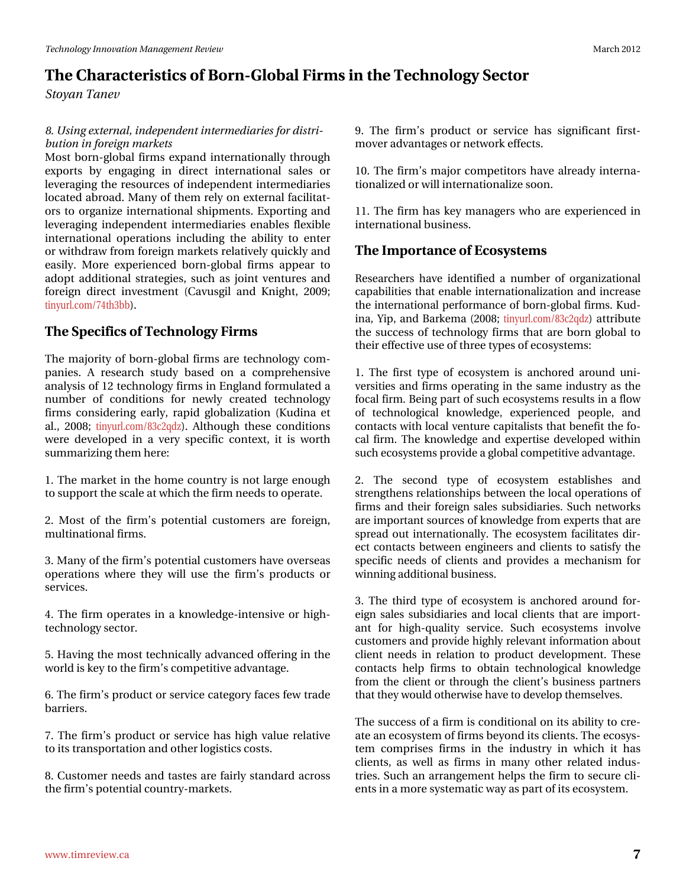# Wikh#Fkdudfwhulwwlfv#i#ErugQJoredo#lupv#g#wkh#Whfkgroril#Vhfwru Ww | dg#Wdghy

; 14X vigi #h{ whuqdo/#qghshqghqw#qwhup hqidulhv#ru#givwul0  $ex$  where  $44$  and  $44$  and  $44$  and  $44$  and  $44$  and  $44$  and  $44$  and  $44$  and  $44$  and  $44$  and  $44$  and  $44$  and  $44$  and  $44$  and  $44$  and  $44$  and  $44$  and  $44$  and  $44$  and  $44$  and  $44$  and  $44$  and  $44$  and  $44$ 

Prw#eruq0joredo#lupv#n{sdqg#qwhuqdwlrqdoo|#wkurxjk# h{sr ww#e|#hqj dj lqj #lq#gluhf w#lqvhuqdwlr qdd#vddhv#r u# dnyhudj lqj #wkh#uhvr xuf hv#ri#qghshqghqw#qwhup hgldulhv# or f dwhg#deurdg1#Pdq|#ri#wk.hp#uho|#rq#h{whuqdc#idflolwdw0 r w#wr#r ujdql}h#lqwhuqdwlr qdo#vklsp hqwr#H{sr uwlqj#dqg# dyhudi lqi #lqghshqghqv#lqvhuphqldulhv#hqdednv#idn{ledn# lqwhuqdwir qdd#r shudwir qv#lqfoxglqj#wkh#deldw|#wr#hqwhu# ru#zlwkgudz#urp#ruhljq#pdunhw#uhodwlyho|#xlfno|#dqg# hdvid #Pruh#h{shulhqfhg#eruq0joredo#ilupv#dsshdu#wr# dgr sw#dgglwtr gdd#wudwhjlhv/#vxfk#dv#mlgw#yhgwxuhv#dgg# ir uhlj q#gluhfw#lqyhwp hqw#+Fdyxvjlo#dqg#Nqlj kw#533<#  $\frac{1}{4}$  widely xubsing p 2: 7 wk 6ee, 1#

## Wkh#Vshflilfv#i#Whfkqrorj | # lup v#

Wikh#pdmulw|#ri#eruq0joredo#llupv#duh#whfkqrorj|#frp0 sdglhv#D#uhvhdufk#vwxg|#edvhg#rq#d#frpsuhkhqvlyh# dqdo|vlv#i#45#mlfkqrorj|#llupv#q#Hqjodqg#rupxodwhg#d# qxp ehu#ri#frqglwlrqv#iru#qhzq#fuhdwhg#whfkqrorj|# ilup v#frqvlghulqj#hduq/#udslg#joredol}dwlrq#+Nxglqd#hw# do/#533; #Mg| x u f r p 2; 6f 5t g }, #Dowk r x j k # wk h v h # r g g l whr g v # z huh#ghyhorshg#lq#d#yhu|#vshflilf#frqvh{v#4lv#lv#zruwk# vxp p du}lqj#kkhp #khuh#

41# Wk http dunhw#q# wk h#k rp h#fr x qwu|#v#qrw#odujh#hqr x jk # wr#xssruw#kh#vfdoh#dweklfk#kkh#lup#qhhgv#wr#shudwh1

51#Pr w#ri#wkh#ilup \*v#srwhqwldd#fxwwrphuv#duh#iruhljq/# p xowlddwr qdo#lup v1

6 HP dq | # i # k h # l up \* v# s r vhq wldd # x vwr p huv # k dy h # y huv h dv # rshudwir qv#z khuh#wkh|#z loo#xvh#wkh#ilup \*v#surgxfw#ru# vhuylf hv1

71# Wkh#llup#rshudwh v#lq#d#hqrzohgjh0lqwhqvlyh #ru#kljk0 whfkqrorj|#whfwru1

81# Kdylgi# wkh#prw# whif kglfdool#dgydgfhg#riihulgi# q# wkh# z ruog#v#hh|#wr#kkh#lup \*v#lrpshwlwyh#dgydgwdjh1

91# What I ws wr gx fwit unthuy If hat dwhijr u at a find the thrudght edulhu/1

: 14AVkh#llup \*v#surgxfw#ru#vhuylfh#kdv#kljk#ydoxh#uhodwlyh# wr#wcdqvsruvdwrq#dqg#wkhu#orjlvwlfv#frww1

; #Fxwv p hu#qhhgv#dqg#vdwhv#duh#dluo|#wdqgdug#dfurw# wkh#lup \*v#srwhqwldd#rxqwu| Op dunhwv1

<#Wkh#ilup \*v#surgxfw#ru#vhuylfh#kdv#vljqlilfdqw#iluvv0 p r yhu#dgydgwdj hv# u#ghwz r un#hiihf wv1

43 th What lup \*v#p dmut frp shwhwru w#kdyh#doundg | #lqwhuqd0 whr qdd}hg# u#z loo#qwhuqdwlr qdd}h#vrrq1

44 th What lup # k dv#nh| # p dqdj huv#z k r # duh#n { s hul hqf hg# q# lgwhugdwlr gdo#exvlghw1

Wkh#Lp sruwdqfh#i#Hfrv|whp v

Uhvhduf khw#kdyh#ghqwilhg#d#qxpehu#ri#rujdql}dwrqdd# f ds deld why #wk dwing de dh#q whug dwir gdd } dwir g#dgg#gf uhd vh# wkh#qwhuqdwlrqdo#shuirupdqfh#ri#eruq0joredo#llupv1#Nxg0  $\log d/\text{A}$  is /#dqg#Edunhp d#+533;  $\frac{1}{2}$  xud rp 2; 6f 5t g}, #dwwlex wh# wkh#vxffhvv#ri#whfkqrorj|#llupv#wkdw#duh#eruq#joredo#wr# wkhlu#hiihfwlyh#xvh#i#wkuhh#w|shv#i#hfrv|whpv=

41#Wkh#iluw#wlsh#ri#hfrv|whp#lv#dqfkruhg#durxqg#xql0 yhuvlwhv#dqg#llup v# shudwlgj#q#wkh#vdph#qgxvwu|#dv#wkh# ir fdo#lup 1#Ehlqj#sduw#i#vxfk#hfrv|whpv#uhvxow#q#d#lorz# ri#whfkqrorjlfdo#nqrzohgjh/#h{shulhqfhg#shrsoh/#dqg# frqvdfw#zlwk#orfdd#yhqwxuh#dslvddvw#wkdw#ehqhilw#wkh#ir0 f do#llup 1# Wikh#n qr z ohgj h#dqg#h {shuw wh#ghyhorshg#z lwklq# vxfk#nfrv|whpv#surylgh#d#roredo#frpshwlwyh#dgydqwdjh#l

5# Wkh# vhfrqg# w sh#ri#hfrv whp #hvwded vkhv#dqg# wuhqj vkhqv#uhodwlrqvklsv#ehvzhhq#wkh#orfdd#shudwlrqv#ti# ilup v#dqg#wkhlu#iruhljq#vddnv#vxevlgldulhv1#Vxfk#qhwzrunv# duh#p sruvdqv#vrxufhv#i#ngrzohgjh#urp#n{shuw#wkdw#duh# vsuhdg#xw#qwhuqdwrqdoo|#AWkh#hfrv|whp#dflolwdwhv#glu0 hf wif r qwdf wr#ehwz hhq#hqj lqhhuv#dqg#f olhqw#wr #vdwlvi | #wkh# vshflilf#qhhgv#ri#folhqw#dqg#surylghv#d#phfkdqlvp#iru# z Igglgj #gglwr gdo#exvlghw#

61# Wikh# wk lug# wikh#ri#hfrv|whp#lv#dqfkruhg#durxqg#iru0 hljq#vddhv#vxevlgldulhv#dqg#orfdd#fdhqw#wkdw#duh#lpsruw0 dqw#iru#kljk0txddw|#vhuylfh1#Vxfk#hfrv|whpv#lqyroyh# f xww phw#dqg#surylgh#kljko|#uhohydqw#qirupdwtq#derxw# f dhqw#qhhqv#lq#uhodwrq#wr#surgxfw#ghyhorsp hqw#AWkhvh# frqwdfw#khos#ilup v#wr#rewdlq#whfkqrorilfdd#nqrzohgih# iurp # wk h#fdhqw#ru# wk urxjk # wk h#fdhqw\*v#ex vlqhvv#sduwqhuv# wkdw#wkh| #zrxog#wkhuzlvh#kdyh#wr#ghyhors#wkhpvhoyhv#

Wkh#vxffhvv#i#d#lup#v#frqglwlrqdd#q#ww#deldw|#wr#uh0 dwh#dq#hfrv|vwhp#i#lupv#eh|rqg#ww#dhqwv#Wkh#hfrv|v0 whp #frp sulvhv#ilup v#lq#wkh#lqgxwwu|#lq#zklfk#lw#kdv# f dhqw/#dv#z hoo#dv#ilup v#lq#p dq|#rwkhu#uhodwhg#lqgxv0 wulhv1#Vxfk#dq#duudqjhphqw#khosv#wkh#llup#wr#vhfxuh#d0 hqw#q#d#p ruh#y| whp dwf#z d|#lv#sduw#i#ww#nfrv| whp #